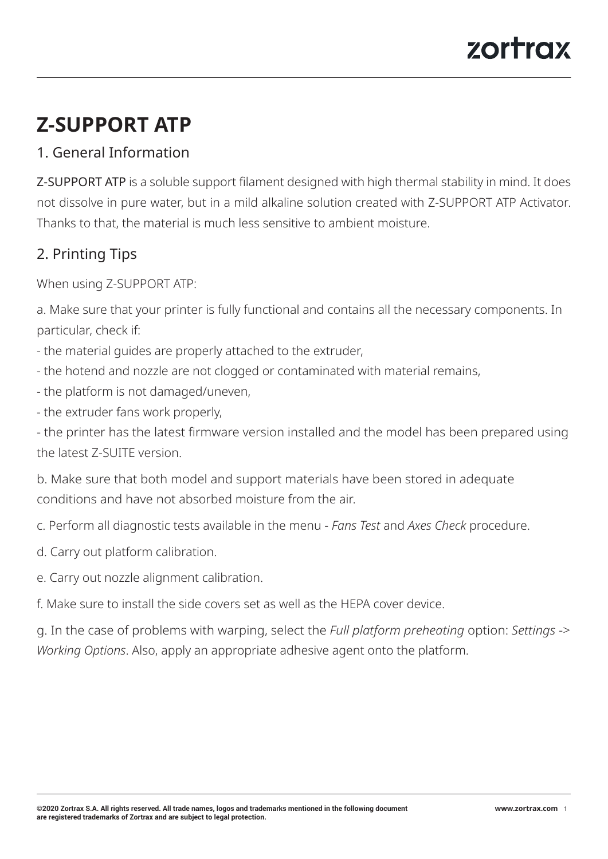# zortrax

# **Z-SUPPORT ATP**

## 1. General Information

Z-SUPPORT ATP is a soluble support filament designed with high thermal stability in mind. It does not dissolve in pure water, but in a mild alkaline solution created with Z-SUPPORT ATP Activator. Thanks to that, the material is much less sensitive to ambient moisture.

## 2. Printing Tips

When using Z-SUPPORT ATP:

a. Make sure that your printer is fully functional and contains all the necessary components. In particular, check if:

- the material guides are properly attached to the extruder,
- the hotend and nozzle are not clogged or contaminated with material remains,
- the platform is not damaged/uneven,
- the extruder fans work properly,

- the printer has the latest firmware version installed and the model has been prepared using the latest Z-SUITE version.

b. Make sure that both model and support materials have been stored in adequate conditions and have not absorbed moisture from the air.

- c. Perform all diagnostic tests available in the menu *Fans Test* and *Axes Check* procedure.
- d. Carry out platform calibration.
- e. Carry out nozzle alignment calibration.

f. Make sure to install the side covers set as well as the HEPA cover device.

g. In the case of problems with warping, select the *Full platform preheating* option: *Settings* -> *Working Options*. Also, apply an appropriate adhesive agent onto the platform.